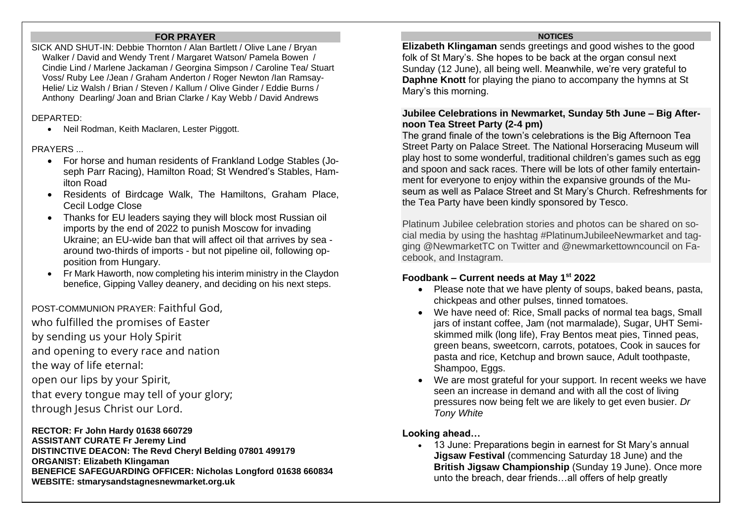### **FOR PRAYER**

SICK AND SHUT-IN: Debbie Thornton / Alan Bartlett / Olive Lane / Bryan Walker / David and Wendy Trent / Margaret Watson/ Pamela Bowen / Cindie Lind / Marlene Jackaman / Georgina Simpson / Caroline Tea/ Stuart Voss/ Ruby Lee /Jean / Graham Anderton / Roger Newton /Ian Ramsay-Helie/ Liz Walsh / Brian / Steven / Kallum / Olive Ginder / Eddie Burns / Anthony Dearling/ Joan and Brian Clarke / Kay Webb / David Andrews

## DEPARTED:

• Neil Rodman, Keith Maclaren, Lester Piggott.

## **PRAYERS**

- For horse and human residents of Frankland Lodge Stables (Joseph Parr Racing), Hamilton Road; St Wendred's Stables, Hamilton Road
- Residents of Birdcage Walk, The Hamiltons, Graham Place, Cecil Lodge Close
- Thanks for EU leaders saying they will block most Russian oil imports by the end of 2022 to punish Moscow for invading Ukraine; an EU-wide ban that will affect oil that arrives by sea around two-thirds of imports - but not pipeline oil, following opposition from Hungary.
- Fr Mark Haworth, now completing his interim ministry in the Claydon benefice, Gipping Valley deanery, and deciding on his next steps.

POST-COMMUNION PRAYER: Faithful God,

- who fulfilled the promises of Easter
- by sending us your Holy Spirit
- and opening to every race and nation
- the way of life eternal:
- open our lips by your Spirit,
- that every tongue may tell of your glory;
- through Jesus Christ our Lord.

**RECTOR: Fr John Hardy 01638 660729 ASSISTANT CURATE Fr Jeremy Lind DISTINCTIVE DEACON: The Revd Cheryl Belding 07801 499179 ORGANIST: Elizabeth Klingaman BENEFICE SAFEGUARDING OFFICER: Nicholas Longford 01638 660834 WEBSITE: stmarysandstagnesnewmarket.org.uk**

#### **NOTICES**

**Elizabeth Klingaman** sends greetings and good wishes to the good folk of St Mary's. She hopes to be back at the organ consul next Sunday (12 June), all being well. Meanwhile, we're very grateful to **Daphne Knott** for playing the piano to accompany the hymns at St Mary's this morning.

## **Jubilee Celebrations in Newmarket, Sunday 5th June – Big Afternoon Tea Street Party (2-4 pm)**

The grand finale of the town's celebrations is the Big Afternoon Tea Street Party on Palace Street. The National [Horseracing](https://www.nhrm.co.uk/) Museum will play host to some wonderful, traditional children's games such as egg and spoon and sack races. There will be lots of other family entertainment for everyone to enjoy within the expansive grounds of the Museum as well as Palace Street and St Mary's Church. Refreshments for the Tea Party have been kindly sponsored by Tesco.

Platinum Jubilee celebration stories and photos can be shared on social media by using the hashtag #PlatinumJubileeNewmarket and tagging @NewmarketTC on Twitter and @newmarkettowncouncil on Facebook, and Instagram.

# **Foodbank – Current needs at May 1st 2022**

- Please note that we have plenty of soups, baked beans, pasta, chickpeas and other pulses, tinned tomatoes.
- We have need of: Rice, Small packs of normal tea bags, Small jars of instant coffee, Jam (not marmalade), Sugar, UHT Semiskimmed milk (long life), Fray Bentos meat pies, Tinned peas, green beans, sweetcorn, carrots, potatoes, Cook in sauces for pasta and rice, Ketchup and brown sauce, Adult toothpaste, Shampoo, Eggs.
- We are most grateful for your support. In recent weeks we have seen an increase in demand and with all the cost of living pressures now being felt we are likely to get even busier. *Dr Tony White*

# **Looking ahead…**

• 13 June: Preparations begin in earnest for St Mary's annual **Jigsaw Festival** (commencing Saturday 18 June) and the **British Jigsaw Championship** (Sunday 19 June). Once more unto the breach, dear friends…all offers of help greatly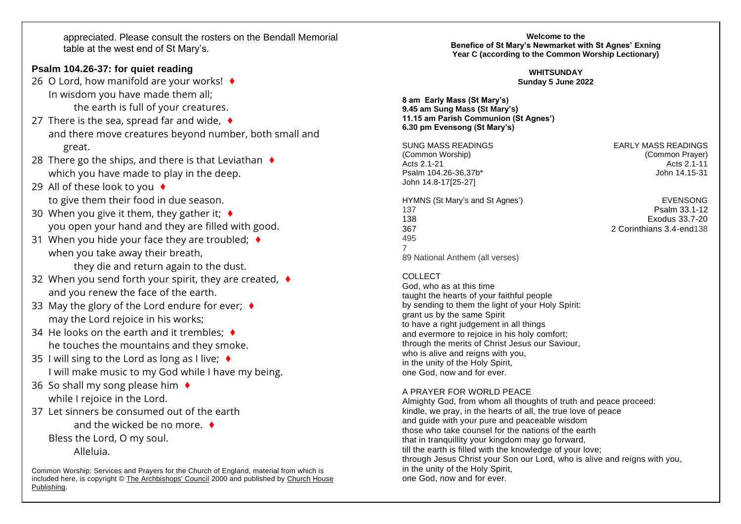appreciated. Please consult the rosters on the Bendall Memorial table at the west end of St Mary's.

## **Psalm 104.26-37: for quiet reading**

- 26 O Lord, how manifold are your works! ♦ In wisdom you have made them all; the earth is full of your creatures.
- 27 There is the sea, spread far and wide,  $\triangleleft$ and there move creatures beyond number, both small and great.
- 28 There go the ships, and there is that Leviathan  $\triangleleft$ which you have made to play in the deep.
- 29 All of these look to you ♦ to give them their food in due season.
- 30 When you give it them, they gather it;  $\triangleleft$ you open your hand and they are filled with good.
- 31 When you hide your face they are troubled;  $\triangleleft$ when you take away their breath, they die and return again to the dust.
- 32 When you send forth your spirit, they are created, ♦ and you renew the face of the earth.
- 33 May the glory of the Lord endure for ever;  $\triangleleft$ may the Lord rejoice in his works;
- 34 He looks on the earth and it trembles:  $\triangleleft$ he touches the mountains and they smoke.
- 35 I will sing to the Lord as long as I live:  $\triangleleft$ I will make music to my God while I have my being.
- 36 So shall my song please him  $\triangleleft$ while I rejoice in the Lord.
- 37 Let sinners be consumed out of the earth and the wicked be no more. ♦ Bless the Lord, O my soul. Alleluia.

Common Worship: Services and Prayers for the Church of England, material from which is included here, is copyright © [The Archbishops' Council](https://www.churchofengland.org/copyright) 2000 and published by [Church House](https://www.chpublishing.co.uk/)  [Publishing.](https://www.chpublishing.co.uk/)

**Welcome to the Benefice of St Mary's Newmarket with St Agnes' Exning Year C (according to the Common Worship Lectionary)**

> **WHITSUNDAY Sunday 5 June 2022**

**8 am Early Mass (St Mary's) 9.45 am Sung Mass (St Mary's) 11.15 am Parish Communion (St Agnes') 6.30 pm Evensong (St Mary's)**

SUNG MASS READINGS EARLY MASS READINGS (Common Worship) (Common Prayer) Psalm 104.26-36.37b\* John 14.8-17[25-27]

# Acts 2.1-11<br>John 14 15-31

HYMNS (St Mary's and St Agnes') EVENSONG 137 Psalm 33.1-12 138 Exodus 33.7-20 367 2 Corinthians 3.4-end138 495 7 89 National Anthem (all verses)

COLLECT.

God, who as at this time taught the hearts of your faithful people by sending to them the light of your Holy Spirit: grant us by the same Spirit to have a right judgement in all things and evermore to rejoice in his holy comfort; through the merits of Christ Jesus our Saviour, who is alive and reigns with you, in the unity of the Holy Spirit, one God, now and for ever.

#### A PRAYER FOR WORLD PEACE

Almighty God, from whom all thoughts of truth and peace proceed: kindle, we pray, in the hearts of all, the true love of peace and guide with your pure and peaceable wisdom those who take counsel for the nations of the earth that in tranquillity your kingdom may go forward, till the earth is filled with the knowledge of your love; through Jesus Christ your Son our Lord, who is alive and reigns with you, in the unity of the Holy Spirit, one God, now and for ever.